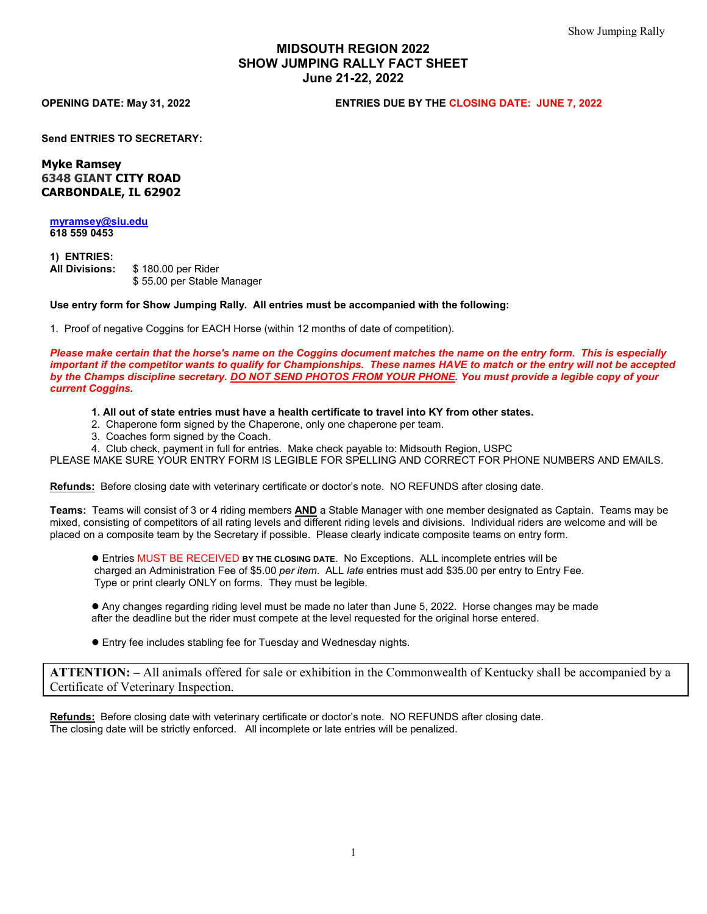# **MIDSOUTH REGION 2022 SHOW JUMPING RALLY FACT SHEET June 21-22, 2022**

**OPENING DATE: May 31, 2022 ENTRIES DUE BY THE CLOSING DATE: JUNE 7, 2022** 

**Send ENTRIES TO SECRETARY:**

**Myke Ramsey 6348 GIANT CITY ROAD CARBONDALE, IL 62902**

**[myramsey@siu.edu](mailto:myramsey@siu.edu) 618 559 0453** 

**1) ENTRIES: All Divisions:** \$ 180.00 per Rider \$ 55.00 per Stable Manager

**Use entry form for Show Jumping Rally. All entries must be accompanied with the following:**

1. Proof of negative Coggins for EACH Horse (within 12 months of date of competition).

*Please make certain that the horse's name on the Coggins document matches the name on the entry form. This is especially important if the competitor wants to qualify for Championships. These names HAVE to match or the entry will not be accepted by the Champs discipline secretary. DO NOT SEND PHOTOS FROM YOUR PHONE. You must provide a legible copy of your current Coggins.* 

**1. All out of state entries must have a health certificate to travel into KY from other states.**

- 2. Chaperone form signed by the Chaperone, only one chaperone per team.
- 3. Coaches form signed by the Coach.
- 4. Club check, payment in full for entries. Make check payable to: Midsouth Region, USPC

PLEASE MAKE SURE YOUR ENTRY FORM IS LEGIBLE FOR SPELLING AND CORRECT FOR PHONE NUMBERS AND EMAILS.

**Refunds:** Before closing date with veterinary certificate or doctor's note. NO REFUNDS after closing date.

**Teams:** Teams will consist of 3 or 4 riding members **AND** a Stable Manager with one member designated as Captain. Teams may be mixed, consisting of competitors of all rating levels and different riding levels and divisions. Individual riders are welcome and will be placed on a composite team by the Secretary if possible. Please clearly indicate composite teams on entry form.

 Entries MUST BE RECEIVED **BY THE CLOSING DATE**. No Exceptions. ALL incomplete entries will be charged an Administration Fee of \$5.00 *per item*. ALL *late* entries must add \$35.00 per entry to Entry Fee. Type or print clearly ONLY on forms. They must be legible.

 Any changes regarding riding level must be made no later than June 5, 2022. Horse changes may be made after the deadline but the rider must compete at the level requested for the original horse entered.

Entry fee includes stabling fee for Tuesday and Wednesday nights.

**ATTENTION: –** All animals offered for sale or exhibition in the Commonwealth of Kentucky shall be accompanied by a Certificate of Veterinary Inspection.

**Refunds:** Before closing date with veterinary certificate or doctor's note. NO REFUNDS after closing date. The closing date will be strictly enforced. All incomplete or late entries will be penalized.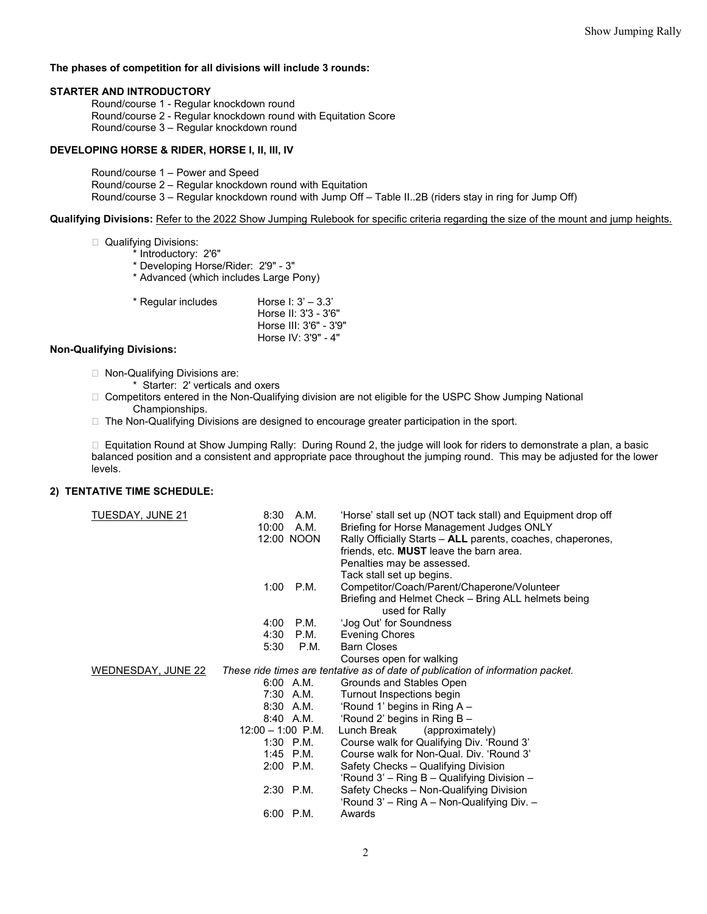### **The phases of competition for all divisions will include 3 rounds:**

#### **STARTER AND INTRODUCTORY**

Round/course 1 - Regular knockdown round Round/course 2 - Regular knockdown round with Equitation Score Round/course 3 – Regular knockdown round

### **DEVELOPING HORSE & RIDER, HORSE I, II, III, IV**

Round/course 1 – Power and Speed Round/course 2 – Regular knockdown round with Equitation Round/course 3 – Regular knockdown round with Jump Off – Table II..2B (riders stay in ring for Jump Off)

#### **Qualifying Divisions:** Refer to the 2022 Show Jumping Rulebook for specific criteria regarding the size of the mount and jump heights.

#### □ Qualifying Divisions:

- \* Introductory: 2'6"
- \* Developing Horse/Rider: 2'9" 3"
- \* Advanced (which includes Large Pony)
- $*$  Regular includes Horse I:  $3' 3.3'$ 
	- Horse II: 3'3 3'6" Horse III: 3'6" - 3'9" Horse IV: 3'9" - 4"

## **Non-Qualifying Divisions:**

- □ Non-Qualifying Divisions are:
	- Starter: 2' verticals and oxers
- □ Competitors entered in the Non-Qualifying division are not eligible for the USPC Show Jumping National Championships.
- $\Box$  The Non-Qualifying Divisions are designed to encourage greater participation in the sport.

 Equitation Round at Show Jumping Rally: During Round 2, the judge will look for riders to demonstrate a plan, a basic balanced position and a consistent and appropriate pace throughout the jumping round. This may be adjusted for the lower levels.

### **2) TENTATIVE TIME SCHEDULE:**

| TUESDAY, JUNE 21   | 8:30                                                                            | A.M.       | 'Horse' stall set up (NOT tack stall) and Equipment drop off          |
|--------------------|---------------------------------------------------------------------------------|------------|-----------------------------------------------------------------------|
|                    | 10:00                                                                           | A.M.       | Briefing for Horse Management Judges ONLY                             |
|                    |                                                                                 | 12:00 NOON | Rally Officially Starts - ALL parents, coaches, chaperones,           |
|                    |                                                                                 |            | friends, etc. MUST leave the barn area.                               |
|                    |                                                                                 |            | Penalties may be assessed.                                            |
|                    |                                                                                 |            | Tack stall set up begins.                                             |
|                    | 1:00                                                                            | P.M.       | Competitor/Coach/Parent/Chaperone/Volunteer                           |
|                    |                                                                                 |            | Briefing and Helmet Check - Bring ALL helmets being<br>used for Rally |
|                    | 4:00                                                                            | P.M.       | 'Jog Out' for Soundness                                               |
|                    | 4:30                                                                            | P.M.       | Evening Chores                                                        |
|                    | 5:30                                                                            | P.M.       | <b>Barn Closes</b>                                                    |
|                    |                                                                                 |            | Courses open for walking                                              |
| WEDNESDAY, JUNE 22 | These ride times are tentative as of date of publication of information packet. |            |                                                                       |
|                    |                                                                                 | 6:00 A.M.  | Grounds and Stables Open                                              |
|                    |                                                                                 | 7:30 A.M.  | Turnout Inspections begin                                             |
|                    |                                                                                 | 8:30 A.M.  | 'Round 1' begins in Ring A -                                          |
|                    |                                                                                 | 8:40 A.M.  | 'Round 2' begins in Ring B -                                          |
|                    | $12:00 - 1:00$ P.M.                                                             |            | Lunch Break<br>(approximately)                                        |
|                    |                                                                                 | 1:30 P.M.  | Course walk for Qualifying Div. 'Round 3'                             |
|                    |                                                                                 | 1:45 P.M.  | Course walk for Non-Qual, Div. 'Round 3'                              |
|                    |                                                                                 | 2:00 P.M.  | Safety Checks - Qualifying Division                                   |
|                    |                                                                                 |            | 'Round 3' – Ring B – Qualifying Division –                            |
|                    | $2:30$ P.M.                                                                     |            | Safety Checks - Non-Qualifying Division                               |
|                    |                                                                                 |            | 'Round 3' – Ring A – Non-Qualifying Div. –                            |
|                    | 6:00 P.M.                                                                       |            | Awards                                                                |
|                    |                                                                                 |            |                                                                       |